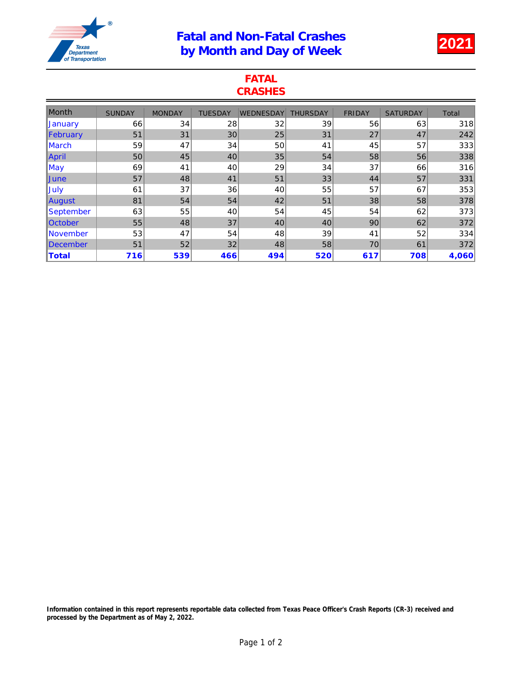## Fatal and Non-Fatal Crashes Patal and Non-Patal Crashes<br>by Month and Day of Week 2021



## FATAL **CRASHES**

| <b>Month</b>      | <b>SUNDAY</b> | <b>MONDAY</b> | <b>TUESDAY</b> | WEDNESDAY | <b>THURSDAY</b> | <b>FRIDAY</b> | <b>SATURDAY</b> | Total |
|-------------------|---------------|---------------|----------------|-----------|-----------------|---------------|-----------------|-------|
| <b>January</b>    | 66            | 34            | 28             | 32        | 39              | 56            | 63              | 318   |
| February          | 51            | 31            | 30             | 25        | 31              | 27            | 47              | 242   |
| <b>IMarch</b>     | 59            | 47            | 34             | 50        | 41              | 45            | 57              | 333   |
| April             | 50            | 45            | 40             | 35        | 54              | 58            | 56              | 338   |
| $\mathsf{May}$    | 69            | 41            | 40             | 29        | 34              | 37            | 66              | 316   |
| <b>June</b>       | 57            | 48            | 41             | 51        | 33              | 44            | 57              | 331   |
| <b>July</b>       | 61            | 37            | 36             | 40        | 55              | 57            | 67              | 353   |
| August            | 81            | 54            | 54             | 42        | 51              | 38            | 58              | 378   |
| <u> September</u> | 63            | 55            | 40             | 54        | 45              | 54            | 62              | 373   |
| <b>October</b>    | 55            | 48            | 37             | 40        | 40              | 90            | 62              | 372   |
| <b>November</b>   | 53            | 47            | 54             | 48        | 39              | 41            | 52              | 334   |
| <b>IDecember</b>  | 51            | 52            | 32             | 48        | 58              | 70            | 61              | 372   |
| Total             | 716           | 539           | 466            | 494       | 520             | 617           | 708             | 4,060 |

Information contained in this report represents reportable data collected from Texas Peace Officer's Crash Reports (CR-3) received and processed by the Department as of May 2, 2022.